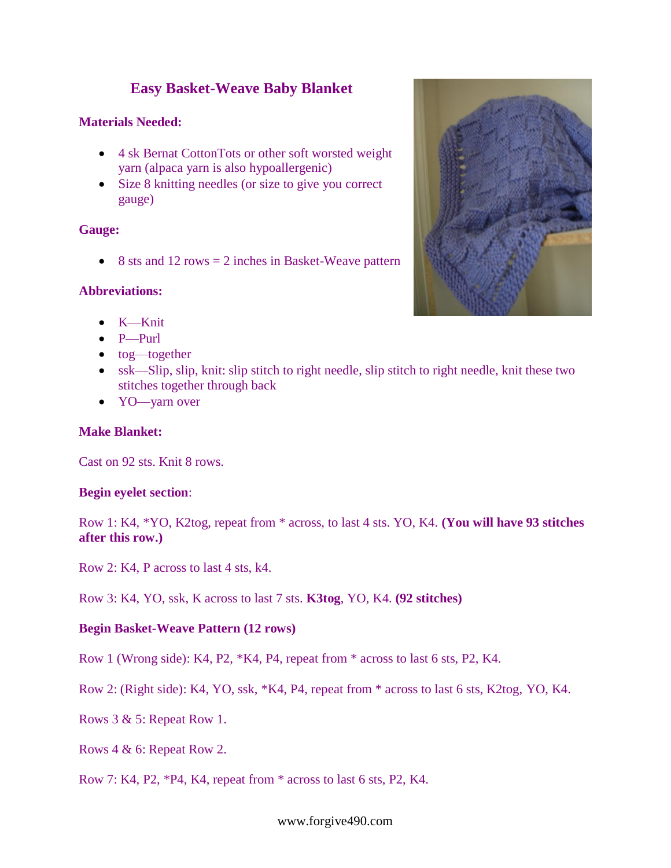# **Easy Basket-Weave Baby Blanket**

### **Materials Needed:**

- 4 sk Bernat CottonTots or other soft worsted weight yarn (alpaca yarn is also hypoallergenic)
- Size 8 knitting needles (or size to give you correct gauge)

#### **Gauge:**

 $\bullet$  8 sts and 12 rows = 2 inches in Basket-Weave pattern

# **Abbreviations:**

- $\bullet$  K—Knit
- $\bullet$  P—Purl
- tog—together
- ssk—Slip, slip, knit: slip stitch to right needle, slip stitch to right needle, knit these two stitches together through back
- YO—yarn over

#### **Make Blanket:**

Cast on 92 sts. Knit 8 rows.

#### **Begin eyelet section**:

Row 1: K4, \*YO, K2tog, repeat from \* across, to last 4 sts. YO, K4. **(You will have 93 stitches after this row.)**

Row 2: K4, P across to last 4 sts, k4.

Row 3: K4, YO, ssk, K across to last 7 sts. **K3tog**, YO, K4. **(92 stitches)**

# **Begin Basket-Weave Pattern (12 rows)**

Row 1 (Wrong side): K4, P2, \*K4, P4, repeat from \* across to last 6 sts, P2, K4.

Row 2: (Right side): K4, YO, ssk, \*K4, P4, repeat from \* across to last 6 sts, K2tog, YO, K4.

Rows 3 & 5: Repeat Row 1.

Rows 4 & 6: Repeat Row 2.

Row 7: K4, P2, \*P4, K4, repeat from \* across to last 6 sts, P2, K4.